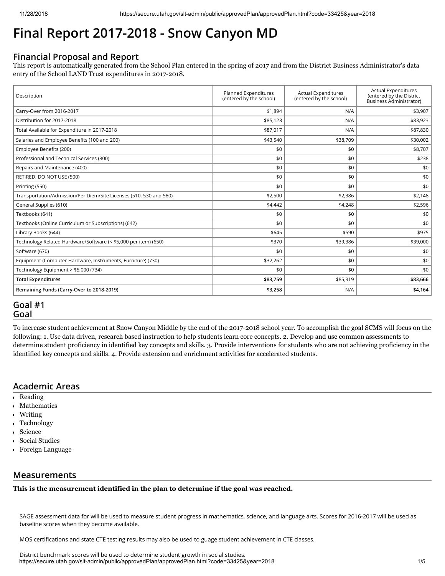# **Final Report 2017-2018 - Snow Canyon MD**

# **Financial Proposal and Report**

This report is automatically generated from the School Plan entered in the spring of 2017 and from the District Business Administrator's data entry of the School LAND Trust expenditures in 2017-2018.

| Description                                                        | Planned Expenditures<br>(entered by the school) | <b>Actual Expenditures</b><br>(entered by the school) | <b>Actual Expenditures</b><br>(entered by the District<br><b>Business Administrator)</b> |
|--------------------------------------------------------------------|-------------------------------------------------|-------------------------------------------------------|------------------------------------------------------------------------------------------|
| Carry-Over from 2016-2017                                          | \$1,894                                         | N/A                                                   | \$3,907                                                                                  |
| Distribution for 2017-2018                                         | \$85,123                                        | N/A                                                   | \$83,923                                                                                 |
| Total Available for Expenditure in 2017-2018                       | \$87,017                                        | N/A                                                   | \$87,830                                                                                 |
| Salaries and Employee Benefits (100 and 200)                       | \$43,540                                        | \$38,709                                              | \$30,002                                                                                 |
| Employee Benefits (200)                                            | \$0                                             | \$0                                                   | \$8,707                                                                                  |
| Professional and Technical Services (300)                          | \$0                                             | \$0                                                   | \$238                                                                                    |
| Repairs and Maintenance (400)                                      | \$0                                             | \$0                                                   | \$0                                                                                      |
| RETIRED. DO NOT USE (500)                                          | \$0                                             | \$0                                                   | \$0                                                                                      |
| Printing (550)                                                     | \$0                                             | \$0                                                   | \$0                                                                                      |
| Transportation/Admission/Per Diem/Site Licenses (510, 530 and 580) | \$2,500                                         | \$2,386                                               | \$2,148                                                                                  |
| General Supplies (610)                                             | \$4,442                                         | \$4,248                                               | \$2,596                                                                                  |
| Textbooks (641)                                                    | \$0                                             | \$0                                                   | \$0                                                                                      |
| Textbooks (Online Curriculum or Subscriptions) (642)               | \$0                                             | \$0                                                   | \$0                                                                                      |
| Library Books (644)                                                | \$645                                           | \$590                                                 | \$975                                                                                    |
| Technology Related Hardware/Software (< \$5,000 per item) (650)    | \$370                                           | \$39,386                                              | \$39,000                                                                                 |
| Software (670)                                                     | \$0                                             | \$0                                                   | \$0                                                                                      |
| Equipment (Computer Hardware, Instruments, Furniture) (730)        | \$32,262                                        | \$0                                                   | \$0                                                                                      |
| Technology Equipment > \$5,000 (734)                               | \$0                                             | \$0                                                   | \$0                                                                                      |
| <b>Total Expenditures</b>                                          | \$83,759                                        | \$85,319                                              | \$83,666                                                                                 |
| Remaining Funds (Carry-Over to 2018-2019)                          | \$3,258                                         | N/A                                                   | \$4,164                                                                                  |

# **Goal #1 Goal**

To increase student achievement at Snow Canyon Middle by the end of the 2017-2018 school year. To accomplish the goal SCMS will focus on the following: 1. Use data driven, research based instruction to help students learn core concepts. 2. Develop and use common assessments to determine student proficiency in identified key concepts and skills. 3. Provide interventions for students who are not achieving proficiency in the identified key concepts and skills. 4. Provide extension and enrichment activities for accelerated students.

# **Academic Areas**

- Reading
- Mathematics
- Writing
- Technology
- Science
- Social Studies
- Foreign Language

# **Measurements**

**This is the measurement identified in the plan to determine if the goal was reached.**

SAGE assessment data for will be used to measure student progress in mathematics, science, and language arts. Scores for 2016-2017 will be used as baseline scores when they become available.

MOS certifications and state CTE testing results may also be used to guage student achievement in CTE classes.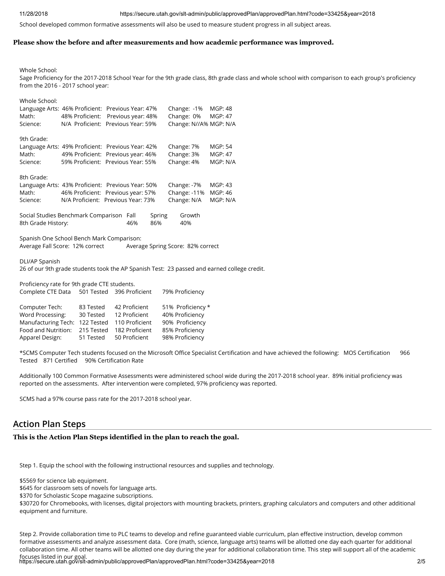#### 11/28/2018 https://secure.utah.gov/slt-admin/public/approvedPlan/approvedPlan.html?code=33425&year=2018

School developed common formative assessments will also be used to measure student progress in all subject areas.

#### **Please show the before and after measurements and how academic performance was improved.**

Whole School:

Sage Proficiency for the 2017-2018 School Year for the 9th grade class, 8th grade class and whole school with comparison to each group's proficiency from the 2016 - 2017 school year:

| Whole School: | Language Arts: 46% Proficient: Previous Year: 47% | Change: -1%            | MGP: 48  |
|---------------|---------------------------------------------------|------------------------|----------|
| Math:         | 48% Proficient: Previous year: 48%                | Change: 0%             | MGP: 47  |
| Science:      | N/A Proficient: Previous Year: 59%                | Change: N//A% MGP: N/A |          |
| 9th Grade:    | Language Arts: 49% Proficient: Previous Year: 42% | Change: 7%             | MGP: 54  |
| Math:         | 49% Proficient: Previous year: 46%                | Change: 3%             | MGP: 47  |
| Science:      | 59% Proficient: Previous Year: 55%                | Change: 4%             | MGP: N/A |
| 8th Grade:    | Language Arts: 43% Proficient: Previous Year: 50% | Change: -7%            | MGP: 43  |
| Math:         | 46% Proficient: Previous year: 57%                | Change: -11%           | MGP: 46  |
| Science:      | N/A Proficient: Previous Year: 73%                | Change: N/A            | MGP: N/A |

| Social Studies Benchmark Comparison Fall |     | Spring | Growth |
|------------------------------------------|-----|--------|--------|
| 8th Grade History:                       | 46% | 86%    | 40%    |

Spanish One School Bench Mark Comparison: Average Fall Score: 12% correct Average Spring Score: 82% correct

DLI/AP Spanish

26 of our 9th grade students took the AP Spanish Test: 23 passed and earned college credit.

Proficiency rate for 9th grade CTE students. Complete CTE Data 501 Tested 396 Proficient 79% Proficiency

| Computer Tech:                                | 83 Tested  | 42 Proficient  | 51% Proficiency * |
|-----------------------------------------------|------------|----------------|-------------------|
| Word Processing:                              | 30 Tested  | 12 Proficient  | 40% Proficiency   |
| Manufacturing Tech: 122 Tested 110 Proficient |            |                | 90% Proficiency   |
| Food and Nutrition:                           | 215 Tested | 182 Proficient | 85% Proficiency   |
| Apparel Design:                               | 51 Tested  | 50 Proficient  | 98% Proficiency   |

\*SCMS Computer Tech students focused on the Microsoft Office Specialist Certification and have achieved the following: MOS Certification 966 Tested 871 Certified 90% Certification Rate

Additionally 100 Common Formative Assessments were administered school wide during the 2017-2018 school year. 89% initial proficiency was reported on the assessments. After intervention were completed, 97% proficiency was reported.

SCMS had a 97% course pass rate for the 2017-2018 school year.

# **Action Plan Steps**

### **This is the Action Plan Steps identified in the plan to reach the goal.**

Step 1. Equip the school with the following instructional resources and supplies and technology.

\$5569 for science lab equipment.

\$645 for classroom sets of novels for language arts.

\$370 for Scholastic Scope magazine subscriptions.

\$30720 for Chromebooks, with licenses, digital projectors with mounting brackets, printers, graphing calculators and computers and other additional equipment and furniture.

focuses listed in our goal.<br>https://secure.utah.gov/slt-admin/public/approvedPlan/approvedPlan.html?code=33425&year=2018 Step 2. Provide collaboration time to PLC teams to develop and refine guaranteed viable curriculum, plan effective instruction, develop common formative assessments and analyze assessment data. Core (math, science, language arts) teams will be allotted one day each quarter for additional collaboration time. All other teams will be allotted one day during the year for additional collaboration time. This step will support all of the academic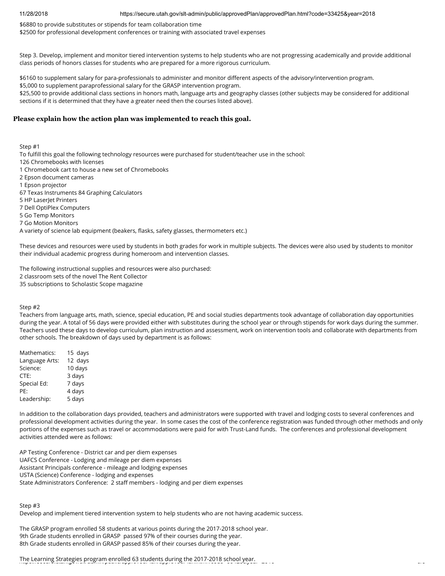11/28/2018 https://secure.utah.gov/slt-admin/public/approvedPlan/approvedPlan.html?code=33425&year=2018

\$6880 to provide substitutes or stipends for team collaboration time \$2500 for professional development conferences or training with associated travel expenses

Step 3. Develop, implement and monitor tiered intervention systems to help students who are not progressing academically and provide additional class periods of honors classes for students who are prepared for a more rigorous curriculum.

\$6160 to supplement salary for para-professionals to administer and monitor different aspects of the advisory/intervention program.

\$5,000 to supplement paraprofessional salary for the GRASP intervention program. \$25,500 to provide additional class sections in honors math, language arts and geography classes (other subjects may be considered for additional

sections if it is determined that they have a greater need then the courses listed above).

# **Please explain how the action plan was implemented to reach this goal.**

Step #1

To fulfill this goal the following technology resources were purchased for student/teacher use in the school: 126 Chromebooks with licenses 1 Chromebook cart to house a new set of Chromebooks 2 Epson document cameras 1 Epson projector 67 Texas Instruments 84 Graphing Calculators 5 HP LaserJet Printers 7 Dell OptiPlex Computers 5 Go Temp Monitors 7 Go Motion Monitors

A variety of science lab equipment (beakers, flasks, safety glasses, thermometers etc.)

These devices and resources were used by students in both grades for work in multiple subjects. The devices were also used by students to monitor their individual academic progress during homeroom and intervention classes.

The following instructional supplies and resources were also purchased: 2 classroom sets of the novel The Rent Collector 35 subscriptions to Scholastic Scope magazine

Step #2

Teachers from language arts, math, science, special education, PE and social studies departments took advantage of collaboration day opportunities during the year. A total of 56 days were provided either with substitutes during the school year or through stipends for work days during the summer. Teachers used these days to develop curriculum, plan instruction and assessment, work on intervention tools and collaborate with departments from other schools. The breakdown of days used by department is as follows:

| Mathematics:   | 15 days |  |  |
|----------------|---------|--|--|
| Language Arts: | 12 days |  |  |
| Science:       | 10 days |  |  |
| CTE:           | 3 days  |  |  |
| Special Ed:    | 7 days  |  |  |
| PE:            | 4 days  |  |  |
| Leadership:    | 5 days  |  |  |
|                |         |  |  |

In addition to the collaboration days provided, teachers and administrators were supported with travel and lodging costs to several conferences and professional development activities during the year. In some cases the cost of the conference registration was funded through other methods and only portions of the expenses such as travel or accommodations were paid for with Trust-Land funds. The conferences and professional development activities attended were as follows:

AP Testing Conference - District car and per diem expenses UAFCS Conference - Lodging and mileage per diem expenses Assistant Principals conference - mileage and lodging expenses USTA (Science) Conference - lodging and expenses State Administrators Conference: 2 staff members - lodging and per diem expenses

Step #3

Develop and implement tiered intervention system to help students who are not having academic success.

The GRASP program enrolled 58 students at various points during the 2017-2018 school year. 9th Grade students enrolled in GRASP passed 97% of their courses during the year. 8th Grade students enrolled in GRASP passed 85% of their courses during the year.

The Learning Strategies program enrolled 63 students during the 2017-2018 school year.<br>https://social.social.gov.shtml?com/approved\_interpreted international code=33/5/5241\_12012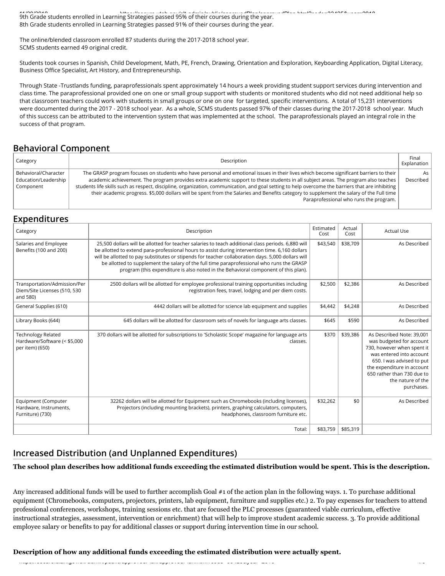11/28/2018<br>9th Grade students enrolled in Learning Strategies passed 95% of their courses during the year. 8th Grade students enrolled in Learning Strategies passed 91% of their courses during the year.

The online/blended classroom enrolled 87 students during the 2017-2018 school year. SCMS students earned 49 original credit.

Students took courses in Spanish, Child Development, Math, PE, French, Drawing, Orientation and Exploration, Keyboarding Application, Digital Literacy, Business Office Specialist, Art History, and Entrepreneurship.

Through State -Trustlands funding, paraprofessionals spent approximately 14 hours a week providing student support services during intervention and class time. The paraprofessional provided one on one or small group support with students or monitored students who did not need additional help so that classroom teachers could work with students in small groups or one on one for targeted, specific interventions. A total of 15,231 interventions were documented during the 2017 - 2018 school year. As a whole, SCMS students passed 97% of their classes during the 2017-2018 school year. Much of this success can be attributed to the intervention system that was implemented at the school. The paraprofessionals played an integral role in the success of that program.

# **Behavioral Component**

| Category                                                  | Description                                                                                                                                                                                                                                                                                                                                                                                                                                                                                                                                                                                                             | Final<br>Explanation |
|-----------------------------------------------------------|-------------------------------------------------------------------------------------------------------------------------------------------------------------------------------------------------------------------------------------------------------------------------------------------------------------------------------------------------------------------------------------------------------------------------------------------------------------------------------------------------------------------------------------------------------------------------------------------------------------------------|----------------------|
| Behavioral/Character<br>Education/Leadership<br>Component | The GRASP program focuses on students who have personal and emotional issues in their lives which become significant barriers to their<br>academic achievement. The program provides extra academic support to these students in all subject areas. The program also teaches<br>students life skills such as respect, discipline, organization, communication, and goal setting to help overcome the barriers that are inhibiting<br>their academic progress, \$5,000 dollars will be spent from the Salaries and Benefits category to supplement the salary of the Full time<br>Paraprofessional who runs the program. | As<br>Described      |

# **Expenditures**

| Category                                                                 | Description                                                                                                                                                                                                                                                                                                                                                                                                                                                                                    | Estimated<br>Cost | Actual<br>Cost | <b>Actual Use</b>                                                                                                                                                                                                                           |
|--------------------------------------------------------------------------|------------------------------------------------------------------------------------------------------------------------------------------------------------------------------------------------------------------------------------------------------------------------------------------------------------------------------------------------------------------------------------------------------------------------------------------------------------------------------------------------|-------------------|----------------|---------------------------------------------------------------------------------------------------------------------------------------------------------------------------------------------------------------------------------------------|
| Salaries and Employee<br>Benefits (100 and 200)                          | 25,500 dollars will be allotted for teacher salaries to teach additional class periods. 6,880 will<br>be allotted to extend para-professional hours to assist during intervention time. 6,160 dollars<br>will be allotted to pay substitutes or stipends for teacher collaboration days. 5,000 dollars will<br>be allotted to supplement the salary of the full time paraprofessional who runs the GRASP<br>program (this expenditure is also noted in the Behavioral component of this plan). | \$43,540          | \$38,709       | As Described                                                                                                                                                                                                                                |
| Transportation/Admission/Per<br>Diem/Site Licenses (510, 530<br>and 580) | 2500 dollars will be allotted for employee professional training opportunities including<br>registration fees, travel, lodging and per diem costs.                                                                                                                                                                                                                                                                                                                                             | \$2,500           | \$2,386        | As Described                                                                                                                                                                                                                                |
| General Supplies (610)                                                   | 4442 dollars will be allotted for science lab equipment and supplies                                                                                                                                                                                                                                                                                                                                                                                                                           | \$4,442           | \$4,248        | As Described                                                                                                                                                                                                                                |
| Library Books (644)                                                      | 645 dollars will be allotted for classroom sets of novels for language arts classes.                                                                                                                                                                                                                                                                                                                                                                                                           | \$645             | \$590          | As Described                                                                                                                                                                                                                                |
| Technology Related<br>Hardware/Software (< \$5,000<br>per item) (650)    | 370 dollars will be allotted for subscriptions to 'Scholastic Scope' magazine for language arts<br>classes.                                                                                                                                                                                                                                                                                                                                                                                    | \$370             | \$39,386       | As Described Note: 39,001<br>was budgeted for account<br>730, however when spent it<br>was entered into account<br>650. I was advised to put<br>the expenditure in account<br>650 rather than 730 due to<br>the nature of the<br>purchases. |
| Equipment (Computer<br>Hardware, Instruments,<br>Furniture) (730)        | 32262 dollars will be allotted for Equipment such as Chromebooks (including licenses),<br>Projectors (including mounting brackets), printers, graphing calculators, computers,<br>headphones, classroom furniture etc.                                                                                                                                                                                                                                                                         | \$32,262          | \$0            | As Described                                                                                                                                                                                                                                |
|                                                                          | Total:                                                                                                                                                                                                                                                                                                                                                                                                                                                                                         | \$83,759          | \$85,319       |                                                                                                                                                                                                                                             |

# **Increased Distribution (and Unplanned Expenditures)**

#### **The school plan describes how additional funds exceeding the estimated distribution would be spent. This is the description.**

Any increased additional funds will be used to further accomplish Goal #1 of the action plan in the following ways. 1. To purchase additional equipment (Chromebooks, computers, projectors, printers, lab equipment, furniture and supplies etc.) 2. To pay expenses for teachers to attend professional conferences, workshops, training sessions etc. that are focused the PLC processes (guaranteed viable curriculum, effective instructional strategies, assessment, intervention or enrichment) that will help to improve student academic success. 3. To provide additional employee salary or benefits to pay for additional classes or support during intervention time in our school.

**Description of how any additional funds exceeding the estimated distribution were actually spent.**